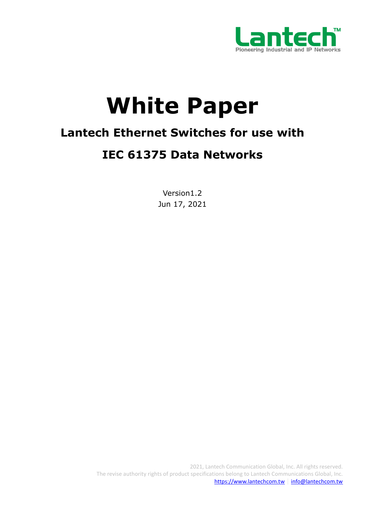

# **White Paper**

# **Lantech Ethernet Switches for use with**

# **IEC 61375 Data Networks**

Version1.2 Jun 17, 2021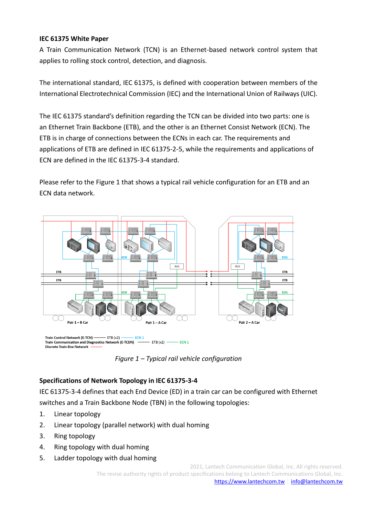## **IEC 61375 White Paper**

A Train Communication Network (TCN) is an Ethernet-based network control system that applies to rolling stock control, detection, and diagnosis.

The international standard, IEC 61375, is defined with cooperation between members of the International Electrotechnical Commission (IEC) and the International Union of Railways (UIC).

The IEC 61375 standard's definition regarding the TCN can be divided into two parts: one is an Ethernet Train Backbone (ETB), and the other is an Ethernet Consist Network (ECN). The ETB is in charge of connections between the ECNs in each car. The requirements and applications of ETB are defined in IEC 61375-2-5, while the requirements and applications of ECN are defined in the IEC 61375-3-4 standard.

Please refer to the Figure 1 that shows a typical rail vehicle configuration for an ETB and an ECN data network.



*Figure 1 – Typical rail vehicle configuration*

# **Specifications of Network Topology in IEC 61375-3-4**

IEC 61375-3-4 defines that each End Device (ED) in a train car can be configured with Ethernet switches and a Train Backbone Node (TBN) in the following topologies:

- 1. Linear topology
- 2. Linear topology (parallel network) with dual homing
- 3. Ring topology
- 4. Ring topology with dual homing
- 5. Ladder topology with dual homing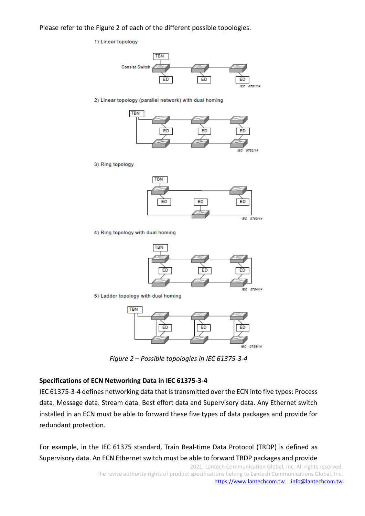Please refer to the Figure 2 of each of the different possible topologies.

#### 1) Linear topology



2) Linear topology (parallel network) with dual homing



3) Ring topology



4) Ring topology with dual homing



5) Ladder topology with dual homing



*Figure 2 – Possible topologies in IEC 61375-3-4*

### **Specifications of ECN Networking Data in IEC 61375-3-4**

IEC 61375-3-4 defines networking data that is transmitted over the ECN into five types: Process data, Message data, Stream data, Best effort data and Supervisory data. Any Ethernet switch installed in an ECN must be able to forward these five types of data packages and provide for redundant protection.

For example, in the IEC 61375 standard, Train Real-time Data Protocol (TRDP) is defined as Supervisory data. An ECN Ethernet switch must be able to forward TRDP packages and provide

> 2021, Lantech Communication Global, Inc. All rights reserved. The revise authority rights of product specifications belong to Lantech Communications Global, Inc. [https://www.lantechcom.tw](https://www.lantechcom.tw/)│[info@lantechcom.tw](mailto:info@lantechcom.tw)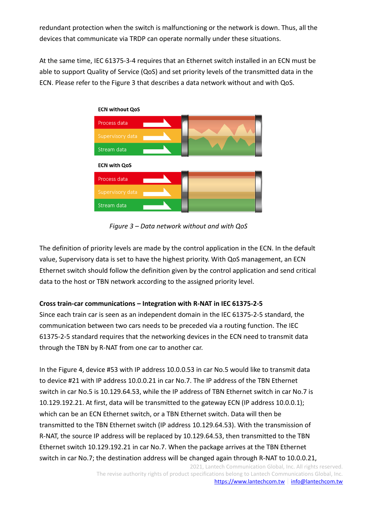redundant protection when the switch is malfunctioning or the network is down. Thus, all the devices that communicate via TRDP can operate normally under these situations.

At the same time, IEC 61375-3-4 requires that an Ethernet switch installed in an ECN must be able to support Quality of Service (QoS) and set priority levels of the transmitted data in the ECN. Please refer to the Figure 3 that describes a data network without and with QoS.



*Figure 3 – Data network without and with QoS*

The definition of priority levels are made by the control application in the ECN. In the default value, Supervisory data is set to have the highest priority. With QoS management, an ECN Ethernet switch should follow the definition given by the control application and send critical data to the host or TBN network according to the assigned priority level.

# **Cross train-car communications – Integration with R-NAT in IEC 61375-2-5**

Since each train car is seen as an independent domain in the IEC 61375-2-5 standard, the communication between two cars needs to be preceded via a routing function. The IEC 61375-2-5 standard requires that the networking devices in the ECN need to transmit data through the TBN by R-NAT from one car to another car.

In the Figure 4, device #53 with IP address 10.0.0.53 in car No.5 would like to transmit data to device #21 with IP address 10.0.0.21 in car No.7. The IP address of the TBN Ethernet switch in car No.5 is 10.129.64.53, while the IP address of TBN Ethernet switch in car No.7 is 10.129.192.21. At first, data will be transmitted to the gateway ECN (IP address 10.0.0.1); which can be an ECN Ethernet switch, or a TBN Ethernet switch. Data will then be transmitted to the TBN Ethernet switch (IP address 10.129.64.53). With the transmission of R-NAT, the source IP address will be replaced by 10.129.64.53, then transmitted to the TBN Ethernet switch 10.129.192.21 in car No.7. When the package arrives at the TBN Ethernet switch in car No.7; the destination address will be changed again through R-NAT to 10.0.0.21,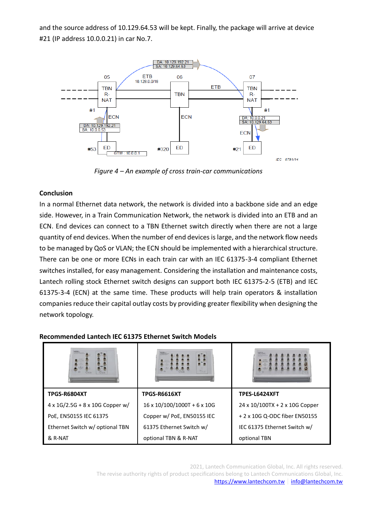and the source address of 10.129.64.53 will be kept. Finally, the package will arrive at device #21 (IP address 10.0.0.21) in car No.7.



*Figure 4 – An example of cross train-car communications*

# **Conclusion**

In a normal Ethernet data network, the network is divided into a backbone side and an edge side. However, in a Train Communication Network, the network is divided into an ETB and an ECN. End devices can connect to a TBN Ethernet switch directly when there are not a large quantity of end devices. When the number of end devices is large, and the network flow needs to be managed by QoS or VLAN; the ECN should be implemented with a hierarchical structure. There can be one or more ECNs in each train car with an IEC 61375-3-4 compliant Ethernet switches installed, for easy management. Considering the installation and maintenance costs, Lantech rolling stock Ethernet switch designs can support both IEC 61375-2-5 (ETB) and IEC 61375-3-4 (ECN) at the same time. These products will help train operators & installation companies reduce their capital outlay costs by providing greater flexibility when designing the network topology.

| <b>TPGS-R6804XT</b>                     | <b>TPGS-R6616XT</b>                     | <b>TPES-L6424XFT</b>           |
|-----------------------------------------|-----------------------------------------|--------------------------------|
| $4 \times 1$ G/2.5G + 8 x 10G Copper w/ | $16 \times 10/100/1000T + 6 \times 10G$ | 24 x 10/100TX + 2 x 10G Copper |
| PoE, EN50155 IEC 61375                  | Copper w/ PoE, EN50155 IEC              | + 2 x 10G Q-ODC fiber EN50155  |
| Ethernet Switch w/ optional TBN         | 61375 Ethernet Switch w/                | IEC 61375 Ethernet Switch w/   |
| & R-NAT                                 | optional TBN & R-NAT                    | optional TBN                   |

## **Recommended Lantech IEC 61375 Ethernet Switch Models**